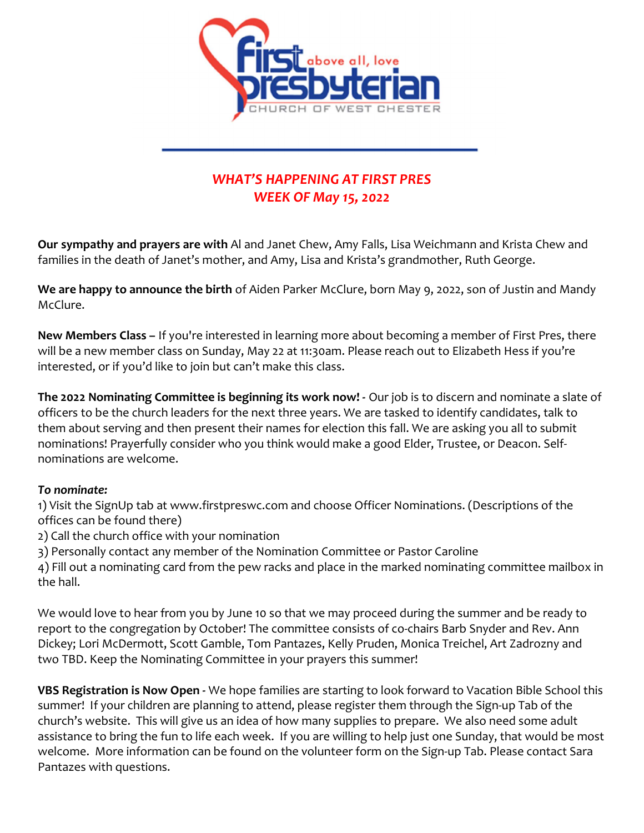

## WHAT'S HAPPENING AT FIRST PRES WEEK OF May 15, 2022

Our sympathy and prayers are with Al and Janet Chew, Amy Falls, Lisa Weichmann and Krista Chew and families in the death of Janet's mother, and Amy, Lisa and Krista's grandmother, Ruth George.

We are happy to announce the birth of Aiden Parker McClure, born May 9, 2022, son of Justin and Mandy McClure.

New Members Class – If you're interested in learning more about becoming a member of First Pres, there will be a new member class on Sunday, May 22 at 11:30am. Please reach out to Elizabeth Hess if you're interested, or if you'd like to join but can't make this class.

The 2022 Nominating Committee is beginning its work now! - Our job is to discern and nominate a slate of officers to be the church leaders for the next three years. We are tasked to identify candidates, talk to them about serving and then present their names for election this fall. We are asking you all to submit nominations! Prayerfully consider who you think would make a good Elder, Trustee, or Deacon. Selfnominations are welcome.

## To nominate:

1) Visit the SignUp tab at www.firstpreswc.com and choose Officer Nominations. (Descriptions of the offices can be found there)

2) Call the church office with your nomination

3) Personally contact any member of the Nomination Committee or Pastor Caroline

4) Fill out a nominating card from the pew racks and place in the marked nominating committee mailbox in the hall.

We would love to hear from you by June 10 so that we may proceed during the summer and be ready to report to the congregation by October! The committee consists of co-chairs Barb Snyder and Rev. Ann Dickey; Lori McDermott, Scott Gamble, Tom Pantazes, Kelly Pruden, Monica Treichel, Art Zadrozny and two TBD. Keep the Nominating Committee in your prayers this summer!

VBS Registration is Now Open - We hope families are starting to look forward to Vacation Bible School this summer! If your children are planning to attend, please register them through the Sign-up Tab of the church's website. This will give us an idea of how many supplies to prepare. We also need some adult assistance to bring the fun to life each week. If you are willing to help just one Sunday, that would be most welcome. More information can be found on the volunteer form on the Sign-up Tab. Please contact Sara Pantazes with questions.